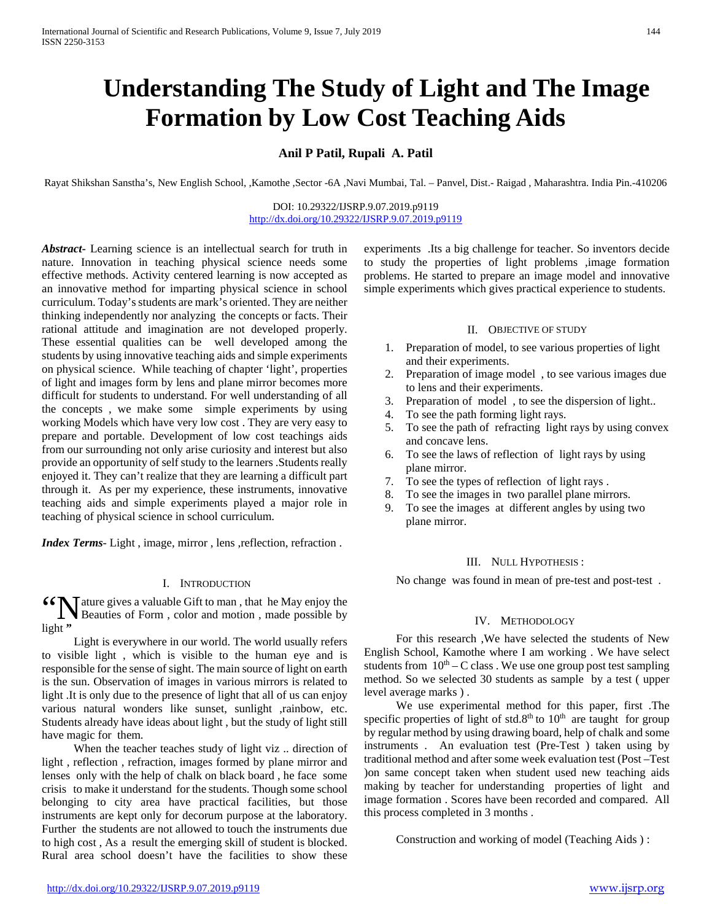# **Understanding The Study of Light and The Image Formation by Low Cost Teaching Aids**

# **Anil P Patil, Rupali A. Patil**

Rayat Shikshan Sanstha's, New English School, ,Kamothe ,Sector -6A ,Navi Mumbai, Tal. – Panvel, Dist.- Raigad , Maharashtra. India Pin.-410206

DOI: 10.29322/IJSRP.9.07.2019.p9119 <http://dx.doi.org/10.29322/IJSRP.9.07.2019.p9119>

*Abstract***-** Learning science is an intellectual search for truth in nature. Innovation in teaching physical science needs some effective methods. Activity centered learning is now accepted as an innovative method for imparting physical science in school curriculum. Today's students are mark's oriented. They are neither thinking independently nor analyzing the concepts or facts. Their rational attitude and imagination are not developed properly. These essential qualities can be well developed among the students by using innovative teaching aids and simple experiments on physical science. While teaching of chapter 'light', properties of light and images form by lens and plane mirror becomes more difficult for students to understand. For well understanding of all the concepts , we make some simple experiments by using working Models which have very low cost . They are very easy to prepare and portable. Development of low cost teachings aids from our surrounding not only arise curiosity and interest but also provide an opportunity of self study to the learners .Students really enjoyed it. They can't realize that they are learning a difficult part through it. As per my experience, these instruments, innovative teaching aids and simple experiments played a major role in teaching of physical science in school curriculum.

*Index Terms*- Light, image, mirror, lens, reflection, refraction.

#### I. INTRODUCTION

ature gives a valuable Gift to man , that he May enjoy the **66** Mature gives a valuable Gift to man, that he May enjoy the Beauties of Form, color and motion, made possible by light **"**

 Light is everywhere in our world. The world usually refers to visible light , which is visible to the human eye and is responsible for the sense of sight. The main source of light on earth is the sun. Observation of images in various mirrors is related to light .It is only due to the presence of light that all of us can enjoy various natural wonders like sunset, sunlight ,rainbow, etc. Students already have ideas about light , but the study of light still have magic for them.

 When the teacher teaches study of light viz .. direction of light , reflection , refraction, images formed by plane mirror and lenses only with the help of chalk on black board , he face some crisis to make it understand for the students. Though some school belonging to city area have practical facilities, but those instruments are kept only for decorum purpose at the laboratory. Further the students are not allowed to touch the instruments due to high cost , As a result the emerging skill of student is blocked. Rural area school doesn't have the facilities to show these experiments .Its a big challenge for teacher. So inventors decide to study the properties of light problems ,image formation problems. He started to prepare an image model and innovative simple experiments which gives practical experience to students.

#### II. OBJECTIVE OF STUDY

- 1. Preparation of model, to see various properties of light and their experiments.
- 2. Preparation of image model , to see various images due to lens and their experiments.
- 3. Preparation of model , to see the dispersion of light..
- 4. To see the path forming light rays.
- 5. To see the path of refracting light rays by using convex and concave lens.
- 6. To see the laws of reflection of light rays by using plane mirror.
- 7. To see the types of reflection of light rays .
- 8. To see the images in two parallel plane mirrors.
- 9. To see the images at different angles by using two plane mirror.

#### III. NULL HYPOTHESIS :

No change was found in mean of pre-test and post-test .

#### IV. METHODOLOGY

 For this research ,We have selected the students of New English School, Kamothe where I am working . We have select students from  $10<sup>th</sup> - C$  class. We use one group post test sampling method. So we selected 30 students as sample by a test ( upper level average marks ) .

 We use experimental method for this paper, first .The specific properties of light of std.8<sup>th</sup> to  $10<sup>th</sup>$  are taught for group by regular method by using drawing board, help of chalk and some instruments . An evaluation test (Pre-Test ) taken using by traditional method and after some week evaluation test (Post –Test )on same concept taken when student used new teaching aids making by teacher for understanding properties of light and image formation . Scores have been recorded and compared. All this process completed in 3 months .

Construction and working of model (Teaching Aids ) :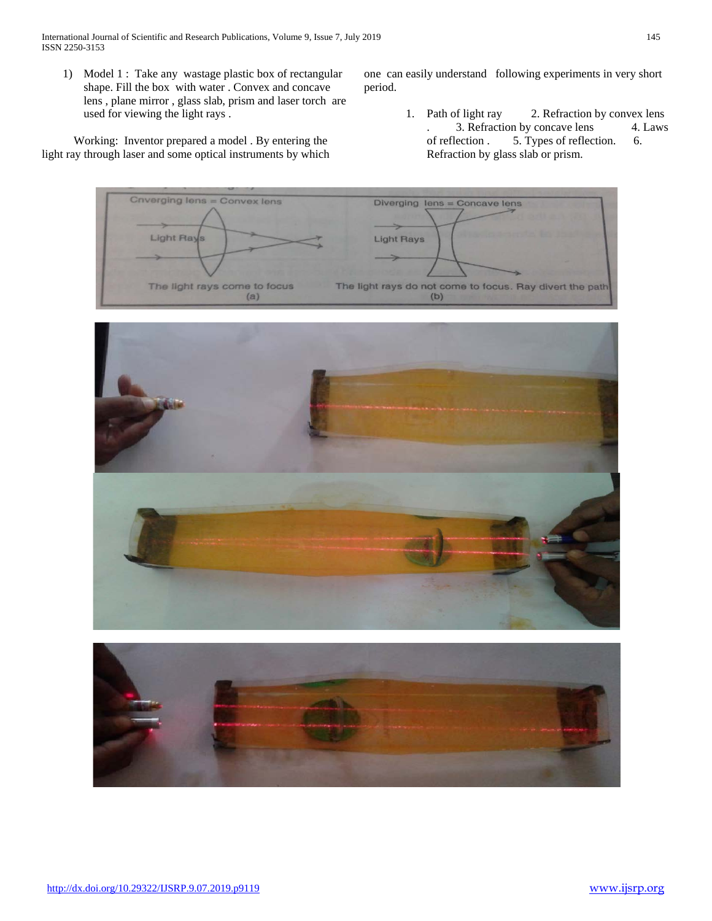1) Model 1 : Take any wastage plastic box of rectangular shape. Fill the box with water . Convex and concave lens , plane mirror , glass slab, prism and laser torch are used for viewing the light rays .

 Working: Inventor prepared a model . By entering the light ray through laser and some optical instruments by which one can easily understand following experiments in very short period.

> 1. Path of light ray 2. Refraction by convex lens<br>3. Refraction by concave lens 4. Laws . 3. Refraction by concave lens<br>of reflection . 5. Types of reflect 5. Types of reflection. 6. Refraction by glass slab or prism.





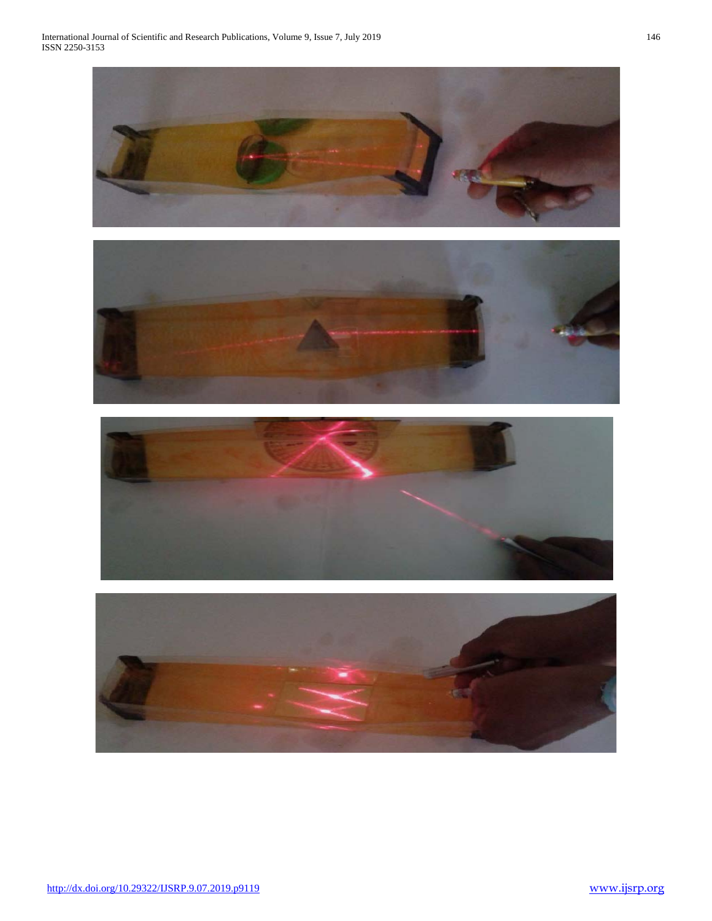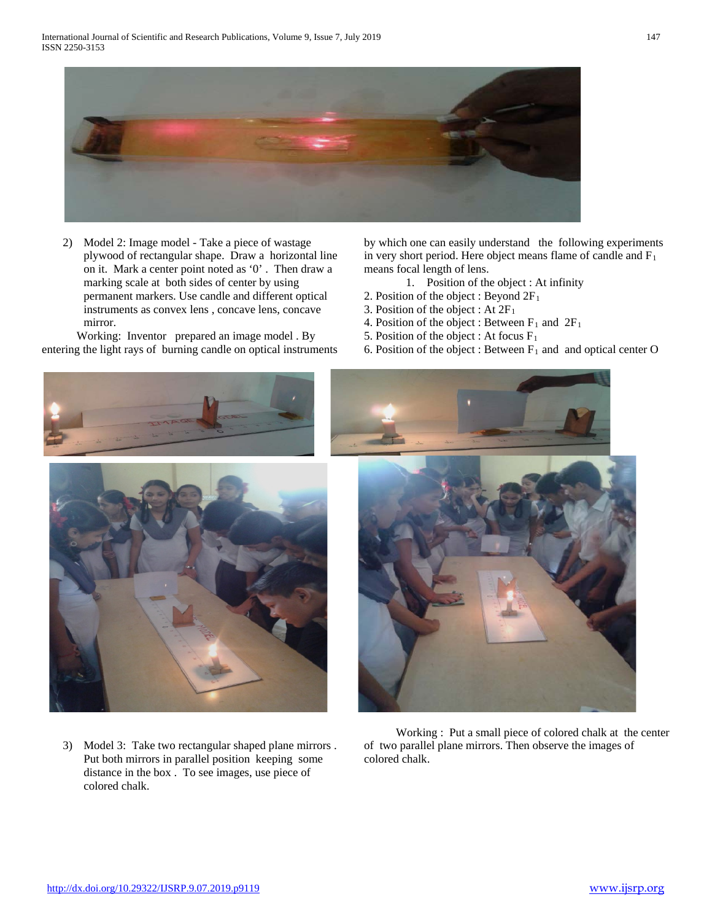

2) Model 2: Image model - Take a piece of wastage plywood of rectangular shape. Draw a horizontal line on it. Mark a center point noted as '0' . Then draw a marking scale at both sides of center by using permanent markers. Use candle and different optical instruments as convex lens , concave lens, concave mirror.

 Working: Inventor prepared an image model . By entering the light rays of burning candle on optical instruments by which one can easily understand the following experiments in very short period. Here object means flame of candle and  $F_1$ means focal length of lens.

- 1. Position of the object : At infinity
- 2. Position of the object : Beyond  $2F_1$
- 3. Position of the object : At  $2F_1$
- 4. Position of the object : Between  $F_1$  and  $2F_1$
- 5. Position of the object : At focus  $F_1$
- 6. Position of the object : Between  $F_1$  and and optical center O



3) Model 3: Take two rectangular shaped plane mirrors . Put both mirrors in parallel position keeping some distance in the box . To see images, use piece of colored chalk.

 Working : Put a small piece of colored chalk at the center of two parallel plane mirrors. Then observe the images of colored chalk.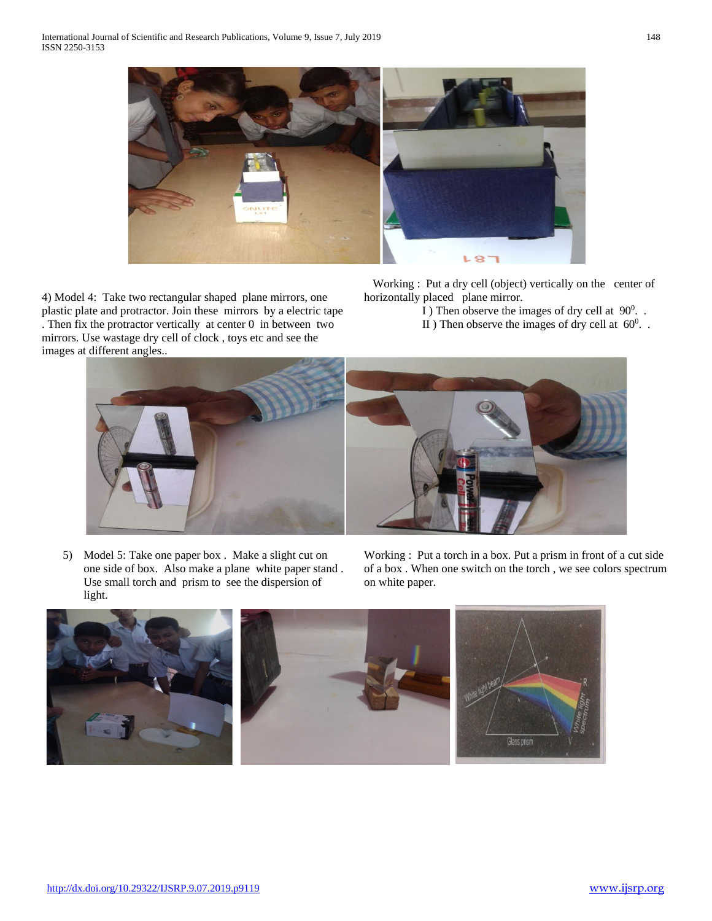

4) Model 4: Take two rectangular shaped plane mirrors, one plastic plate and protractor. Join these mirrors by a electric tape . Then fix the protractor vertically at center 0 in between two mirrors. Use wastage dry cell of clock , toys etc and see the images at different angles..

 Working : Put a dry cell (object) vertically on the center of horizontally placed plane mirror.

- I) Then observe the images of dry cell at  $90^\circ$ .
- II) Then observe the images of dry cell at  $60^0$ .



5) Model 5: Take one paper box . Make a slight cut on one side of box. Also make a plane white paper stand . Use small torch and prism to see the dispersion of light.

Working : Put a torch in a box. Put a prism in front of a cut side of a box . When one switch on the torch , we see colors spectrum on white paper.

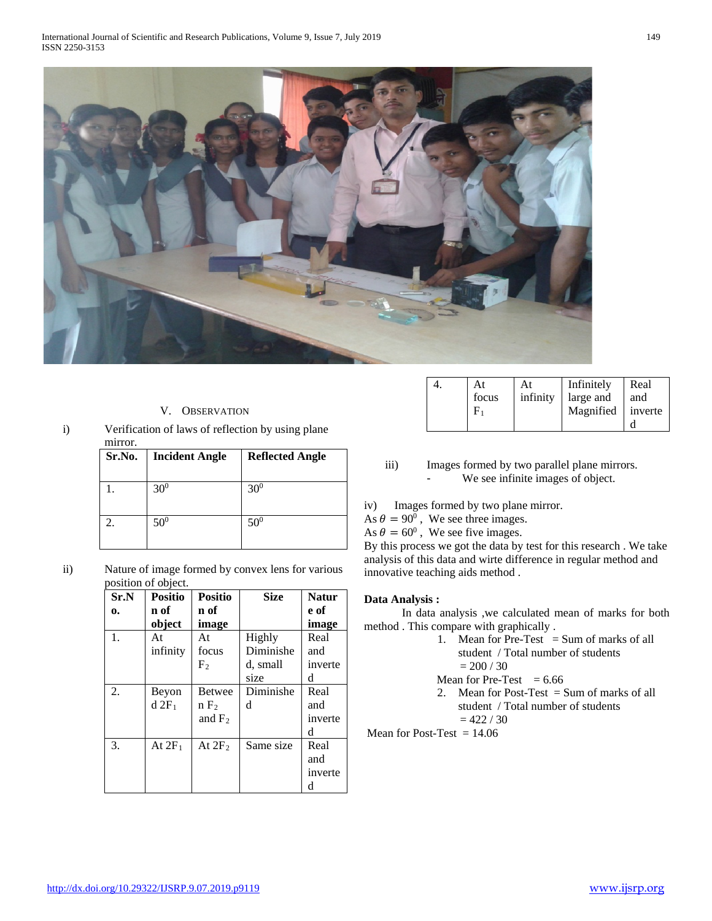

# V. OBSERVATION

i) Verification of laws of reflection by using plane mirror.

| Sr.No. | <b>Incident Angle</b> | <b>Reflected Angle</b> |
|--------|-----------------------|------------------------|
|        | $30^{0}$              | $30^{0}$               |
|        | $50^{0}$              | $50^{0}$               |
|        |                       |                        |

ii) Nature of image formed by convex lens for various position of object.

| Sr.N<br>0. | <b>Positio</b><br>n of<br>object | <b>Positio</b><br>n of<br>image               | <b>Size</b>                             | <b>Natur</b><br>e of<br>image |
|------------|----------------------------------|-----------------------------------------------|-----------------------------------------|-------------------------------|
| 1.         | At<br>infinity                   | At<br>focus<br>F <sub>2</sub>                 | Highly<br>Diminishe<br>d, small<br>size | Real<br>and<br>inverte<br>d   |
| 2.         | Beyon<br>$d 2F_1$                | <b>Betwee</b><br>n F <sub>2</sub><br>and $F2$ | Diminishe<br>d                          | Real<br>and<br>inverte<br>d   |
| 3.         | At $2F_1$                        | At $2F_2$                                     | Same size                               | Real<br>and<br>inverte<br>d   |

| At    | At       | Infinitely | Real    |
|-------|----------|------------|---------|
| focus | infinity | large and  | and     |
|       |          | Magnified  | inverte |
|       |          |            |         |

iii) Images formed by two parallel plane mirrors. We see infinite images of object.

iv) Images formed by two plane mirror.

As  $\theta = 90^{\circ}$ , We see three images.

As  $\theta = 60^{\circ}$ , We see five images.

By this process we got the data by test for this research . We take analysis of this data and wirte difference in regular method and innovative teaching aids method .

#### **Data Analysis :**

In data analysis ,we calculated mean of marks for both method . This compare with graphically .

> 1. Mean for Pre-Test  $=$  Sum of marks of all student / Total number of students  $= 200 / 30$

Mean for Pre-Test  $= 6.66$ 

2. Mean for Post-Test  $=$  Sum of marks of all student / Total number of students

$$
=422/30
$$

Mean for Post-Test  $= 14.06$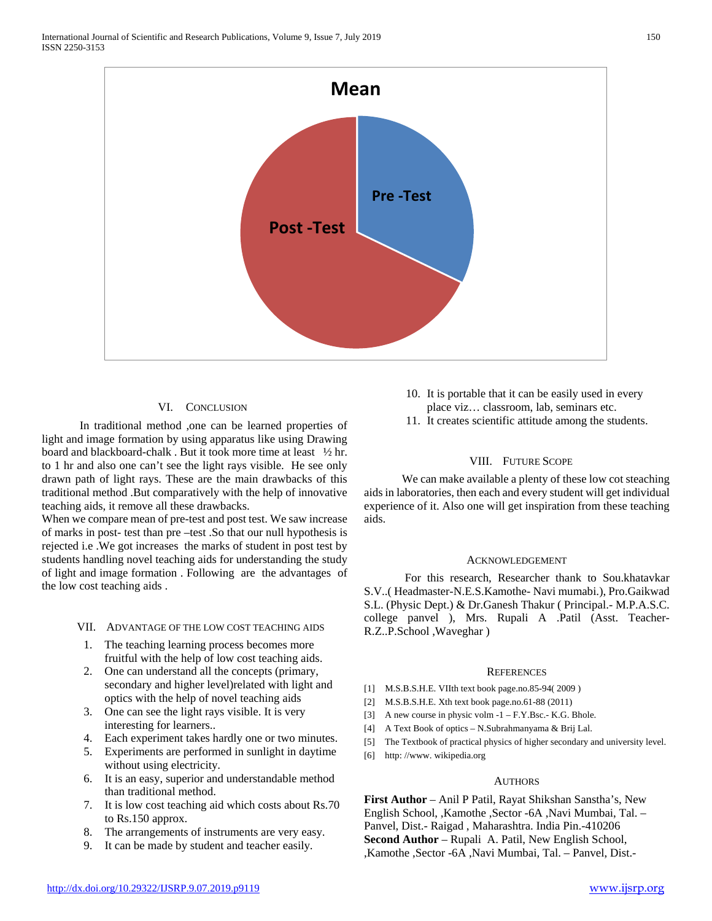

#### VI. CONCLUSION

 In traditional method ,one can be learned properties of light and image formation by using apparatus like using Drawing board and blackboard-chalk . But it took more time at least ½ hr. to 1 hr and also one can't see the light rays visible. He see only drawn path of light rays. These are the main drawbacks of this traditional method .But comparatively with the help of innovative teaching aids, it remove all these drawbacks.

When we compare mean of pre-test and post test. We saw increase of marks in post- test than pre –test .So that our null hypothesis is rejected i.e .We got increases the marks of student in post test by students handling novel teaching aids for understanding the study of light and image formation . Following are the advantages of the low cost teaching aids .

VII. ADVANTAGE OF THE LOW COST TEACHING AIDS

- 1. The teaching learning process becomes more fruitful with the help of low cost teaching aids.
- 2. One can understand all the concepts (primary, secondary and higher level)related with light and optics with the help of novel teaching aids
- 3. One can see the light rays visible. It is very interesting for learners..
- 4. Each experiment takes hardly one or two minutes.
- 5. Experiments are performed in sunlight in daytime without using electricity.
- 6. It is an easy, superior and understandable method than traditional method.
- 7. It is low cost teaching aid which costs about Rs.70 to Rs.150 approx.
- 8. The arrangements of instruments are very easy.
- 9. It can be made by student and teacher easily.
- 10. It is portable that it can be easily used in every place viz… classroom, lab, seminars etc.
- 11. It creates scientific attitude among the students.

#### VIII. FUTURE SCOPE

 We can make available a plenty of these low cot steaching aids in laboratories, then each and every student will get individual experience of it. Also one will get inspiration from these teaching aids.

#### ACKNOWLEDGEMENT

 For this research, Researcher thank to Sou.khatavkar S.V..( Headmaster-N.E.S.Kamothe- Navi mumabi.), Pro.Gaikwad S.L. (Physic Dept.) & Dr.Ganesh Thakur ( Principal.- M.P.A.S.C. college panvel ), Mrs. Rupali A .Patil (Asst. Teacher-R.Z..P.School ,Waveghar )

#### **REFERENCES**

- [1] M.S.B.S.H.E. VIIth text book page.no.85-94( 2009 )
- [2] M.S.B.S.H.E. Xth text book page.no.61-88 (2011)
- [3] A new course in physic volm -1 F.Y.Bsc.- K.G. Bhole.
- [4] A Text Book of optics N.Subrahmanyama & Brij Lal.
- [5] The Textbook of practical physics of higher secondary and university level.
- [6] http: //www. wikipedia.org

#### **AUTHORS**

**First Author** – Anil P Patil, Rayat Shikshan Sanstha's, New English School, ,Kamothe ,Sector -6A ,Navi Mumbai, Tal. – Panvel, Dist.- Raigad , Maharashtra. India Pin.-410206 **Second Author** – Rupali A. Patil, New English School, ,Kamothe ,Sector -6A ,Navi Mumbai, Tal. – Panvel, Dist.-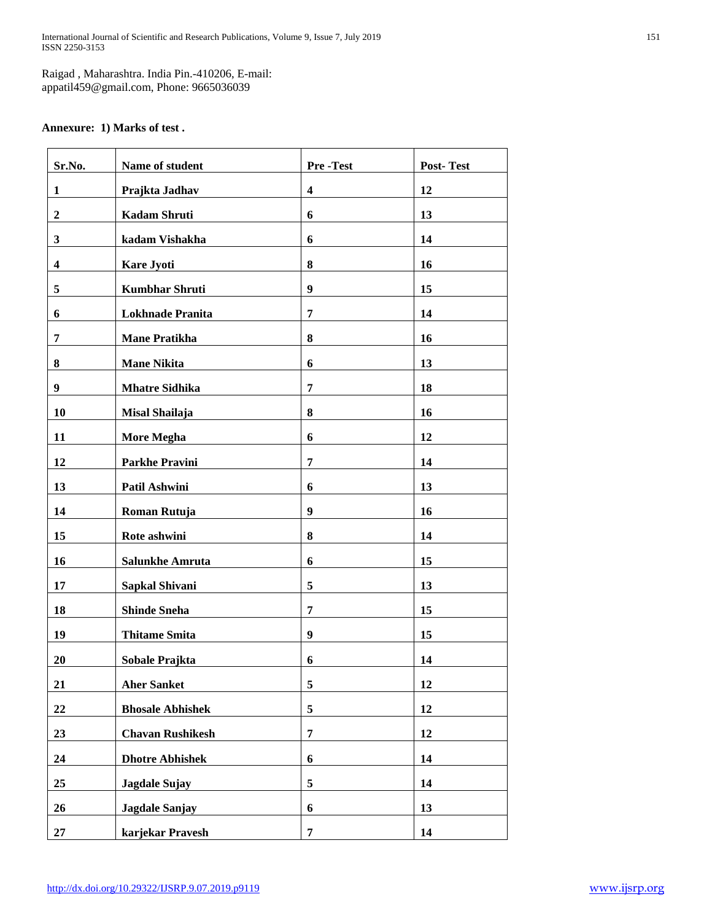Raigad , Maharashtra. India Pin.-410206, E-mail: appatil459@gmail.com, Phone: 9665036039

# **Annexure: 1) Marks of test .**

| Sr.No.                  | Name of student         | Pre-Test                | Post-Test |
|-------------------------|-------------------------|-------------------------|-----------|
| 1                       | Prajkta Jadhav          | $\overline{\mathbf{4}}$ | 12        |
| $\boldsymbol{2}$        | <b>Kadam Shruti</b>     | 6                       | 13        |
| $\mathbf{3}$            | kadam Vishakha          | 6                       | 14        |
| $\overline{\mathbf{4}}$ | Kare Jyoti              | 8                       | 16        |
| 5                       | <b>Kumbhar Shruti</b>   | $\boldsymbol{9}$        | 15        |
| 6                       | <b>Lokhnade Pranita</b> | 7                       | 14        |
| 7                       | <b>Mane Pratikha</b>    | 8                       | 16        |
| 8                       | <b>Mane Nikita</b>      | 6                       | 13        |
| $\boldsymbol{9}$        | <b>Mhatre Sidhika</b>   | 7                       | 18        |
| 10                      | Misal Shailaja          | 8                       | 16        |
| 11                      | <b>More Megha</b>       | 6                       | 12        |
| 12                      | <b>Parkhe Pravini</b>   | 7                       | 14        |
| 13                      | Patil Ashwini           | 6                       | 13        |
| 14                      | Roman Rutuja            | $\boldsymbol{9}$        | 16        |
| 15                      | Rote ashwini            | 8                       | 14        |
| 16                      | Salunkhe Amruta         | 6                       | 15        |
| 17                      | Sapkal Shivani          | 5                       | 13        |
| 18                      | <b>Shinde Sneha</b>     | 7                       | 15        |
| 19                      | <b>Thitame Smita</b>    | 9                       | 15        |
| 20                      | Sobale Prajkta          | 6                       | 14        |
| 21                      | <b>Aher Sanket</b>      | $\sqrt{5}$              | 12        |
| $22\,$                  | <b>Bhosale Abhishek</b> | $\sqrt{5}$              | 12        |
| 23                      | <b>Chavan Rushikesh</b> | $\overline{7}$          | 12        |
| 24                      | <b>Dhotre Abhishek</b>  | $\boldsymbol{6}$        | 14        |
| 25                      | Jagdale Sujay           | 5                       | 14        |
| 26                      | Jagdale Sanjay          | $\boldsymbol{6}$        | 13        |
| 27                      | karjekar Pravesh        | $\overline{7}$          | 14        |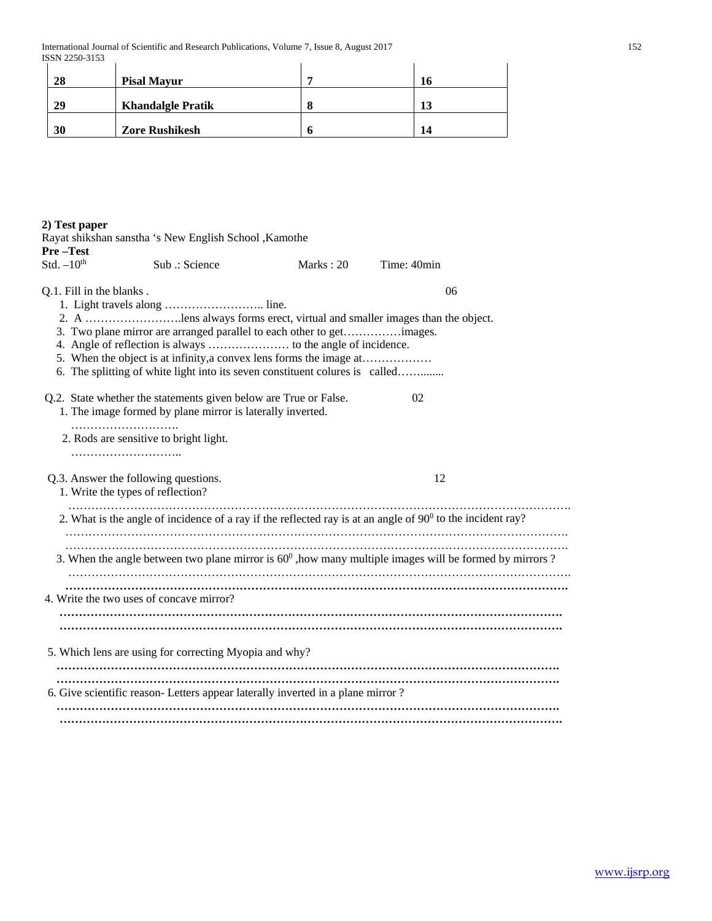| LOOIN 22JU-31J3 |                          |   |    |
|-----------------|--------------------------|---|----|
| 28              | <b>Pisal Mayur</b>       |   | 16 |
| 29              | <b>Khandalgle Pratik</b> | 0 | 13 |
| 30              | <b>Zore Rushikesh</b>    |   | 14 |

### **2) Test paper**

| Pre-Test                                                                  | Rayat shikshan sanstha 's New English School , Kamothe                                                                         |                                                                                                                                                                                                                              |                                                                                                                        |  |
|---------------------------------------------------------------------------|--------------------------------------------------------------------------------------------------------------------------------|------------------------------------------------------------------------------------------------------------------------------------------------------------------------------------------------------------------------------|------------------------------------------------------------------------------------------------------------------------|--|
| $Std. -10th$                                                              | Sub .: Science                                                                                                                 | Marks: 20                                                                                                                                                                                                                    | Time: 40min                                                                                                            |  |
| Q.1. Fill in the blanks.                                                  |                                                                                                                                | 3. Two plane mirror are arranged parallel to each other to getimages.<br>5. When the object is at infinity, a convex lens forms the image at<br>6. The splitting of white light into its seven constituent colures is called | 06<br>2. A lens always forms erect, virtual and smaller images than the object.                                        |  |
|                                                                           | Q.2. State whether the statements given below are True or False.<br>1. The image formed by plane mirror is laterally inverted. |                                                                                                                                                                                                                              | 02                                                                                                                     |  |
|                                                                           | 2. Rods are sensitive to bright light.                                                                                         |                                                                                                                                                                                                                              |                                                                                                                        |  |
| Q.3. Answer the following questions.<br>1. Write the types of reflection? |                                                                                                                                |                                                                                                                                                                                                                              | 12                                                                                                                     |  |
|                                                                           |                                                                                                                                |                                                                                                                                                                                                                              | 2. What is the angle of incidence of a ray if the reflected ray is at an angle of 90 <sup>0</sup> to the incident ray? |  |
|                                                                           |                                                                                                                                |                                                                                                                                                                                                                              | 3. When the angle between two plane mirror is $60^{\circ}$ , how many multiple images will be formed by mirrors?       |  |
| 4. Write the two uses of concave mirror?                                  |                                                                                                                                |                                                                                                                                                                                                                              |                                                                                                                        |  |
|                                                                           | 5. Which lens are using for correcting Myopia and why?                                                                         |                                                                                                                                                                                                                              |                                                                                                                        |  |
|                                                                           |                                                                                                                                | 6. Give scientific reason- Letters appear laterally inverted in a plane mirror?                                                                                                                                              |                                                                                                                        |  |
|                                                                           |                                                                                                                                |                                                                                                                                                                                                                              |                                                                                                                        |  |